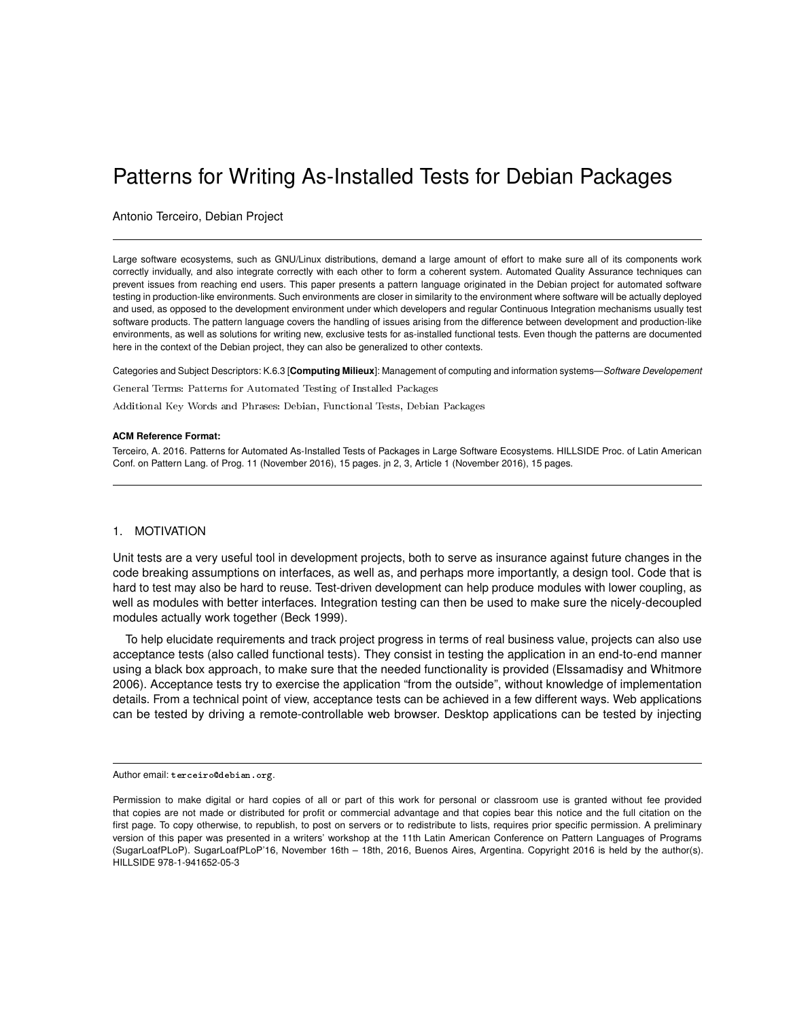# <span id="page-0-0"></span>Patterns for Writing As-Installed Tests for Debian Packages

Antonio Terceiro, Debian Project

Large software ecosystems, such as GNU/Linux distributions, demand a large amount of effort to make sure all of its components work correctly invidually, and also integrate correctly with each other to form a coherent system. Automated Quality Assurance techniques can prevent issues from reaching end users. This paper presents a pattern language originated in the Debian project for automated software testing in production-like environments. Such environments are closer in similarity to the environment where software will be actually deployed and used, as opposed to the development environment under which developers and regular Continuous Integration mechanisms usually test software products. The pattern language covers the handling of issues arising from the difference between development and production-like environments, as well as solutions for writing new, exclusive tests for as-installed functional tests. Even though the patterns are documented here in the context of the Debian project, they can also be generalized to other contexts.

Categories and Subject Descriptors: K.6.3 [**Computing Milieux**]: Management of computing and information systems—*Software Developement*

General Terms: Patterns for Automated Testing of Installed Packages

Additional Key Words and Phrases: Debian, Functional Tests, Debian Packages

#### **ACM Reference Format:**

Terceiro, A. 2016. Patterns for Automated As-Installed Tests of Packages in Large Software Ecosystems. HILLSIDE Proc. of Latin American Conf. on Pattern Lang. of Prog. 11 (November 2016), 15 pages. jn 2, 3, Article 1 (November 2016), 15 pages.

### 1. MOTIVATION

Unit tests are a very useful tool in development projects, both to serve as insurance against future changes in the code breaking assumptions on interfaces, as well as, and perhaps more importantly, a design tool. Code that is hard to test may also be hard to reuse. Test-driven development can help produce modules with lower coupling, as well as modules with better interfaces. Integration testing can then be used to make sure the nicely-decoupled modules actually work together (Beck 1999).

To help elucidate requirements and track project progress in terms of real business value, projects can also use acceptance tests (also called functional tests). They consist in testing the application in an end-to-end manner using a black box approach, to make sure that the needed functionality is provided (Elssamadisy and Whitmore 2006). Acceptance tests try to exercise the application "from the outside", without knowledge of implementation details. From a technical point of view, acceptance tests can be achieved in a few different ways. Web applications can be tested by driving a remote-controllable web browser. Desktop applications can be tested by injecting

Author email: terceiro@debian.org.

Permission to make digital or hard copies of all or part of this work for personal or classroom use is granted without fee provided that copies are not made or distributed for profit or commercial advantage and that copies bear this notice and the full citation on the first page. To copy otherwise, to republish, to post on servers or to redistribute to lists, requires prior specific permission. A preliminary version of this paper was presented in a writers' workshop at the 11th Latin American Conference on Pattern Languages of Programs (SugarLoafPLoP). SugarLoafPLoP'16, November 16th – 18th, 2016, Buenos Aires, Argentina. Copyright 2016 is held by the author(s). HILLSIDE 978-1-941652-05-3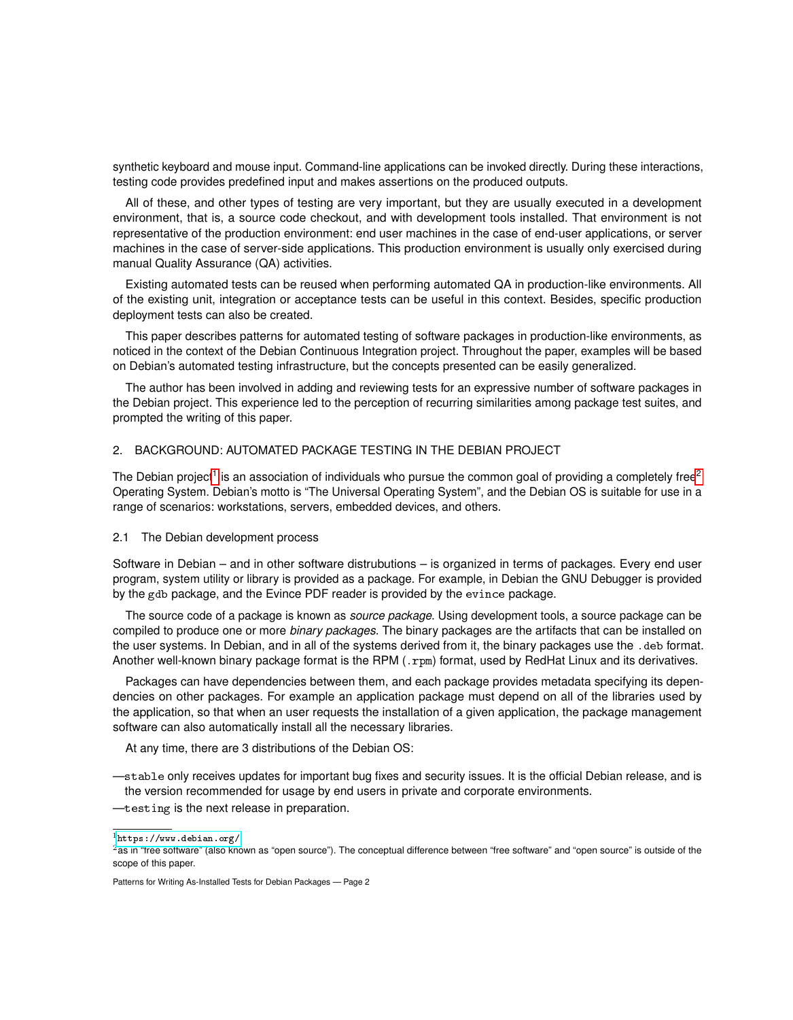synthetic keyboard and mouse input. Command-line applications can be invoked directly. During these interactions, testing code provides predefined input and makes assertions on the produced outputs.

All of these, and other types of testing are very important, but they are usually executed in a development environment, that is, a source code checkout, and with development tools installed. That environment is not representative of the production environment: end user machines in the case of end-user applications, or server machines in the case of server-side applications. This production environment is usually only exercised during manual Quality Assurance (QA) activities.

Existing automated tests can be reused when performing automated QA in production-like environments. All of the existing unit, integration or acceptance tests can be useful in this context. Besides, specific production deployment tests can also be created.

This paper describes patterns for automated testing of software packages in production-like environments, as noticed in the context of the Debian Continuous Integration project. Throughout the paper, examples will be based on Debian's automated testing infrastructure, but the concepts presented can be easily generalized.

The author has been involved in adding and reviewing tests for an expressive number of software packages in the Debian project. This experience led to the perception of recurring similarities among package test suites, and prompted the writing of this paper.

# 2. BACKGROUND: AUTOMATED PACKAGE TESTING IN THE DEBIAN PROJECT

The Debian project<sup>[1](#page-0-0)</sup> is an association of individuals who pursue the common goal of providing a completely free<sup>[2](#page-0-0)</sup> Operating System. Debian's motto is "The Universal Operating System", and the Debian OS is suitable for use in a range of scenarios: workstations, servers, embedded devices, and others.

## 2.1 The Debian development process

Software in Debian – and in other software distrubutions – is organized in terms of packages. Every end user program, system utility or library is provided as a package. For example, in Debian the GNU Debugger is provided by the gdb package, and the Evince PDF reader is provided by the evince package.

The source code of a package is known as *source package*. Using development tools, a source package can be compiled to produce one or more *binary packages*. The binary packages are the artifacts that can be installed on the user systems. In Debian, and in all of the systems derived from it, the binary packages use the .deb format. Another well-known binary package format is the RPM (.rpm) format, used by RedHat Linux and its derivatives.

Packages can have dependencies between them, and each package provides metadata specifying its dependencies on other packages. For example an application package must depend on all of the libraries used by the application, so that when an user requests the installation of a given application, the package management software can also automatically install all the necessary libraries.

At any time, there are 3 distributions of the Debian OS:

—stable only receives updates for important bug fixes and security issues. It is the official Debian release, and is the version recommended for usage by end users in private and corporate environments.

—testing is the next release in preparation.

 $1$ <https://www.debian.org/>

 $2$ as in "free software" (also known as "open source"). The conceptual difference between "free software" and "open source" is outside of the scope of this paper.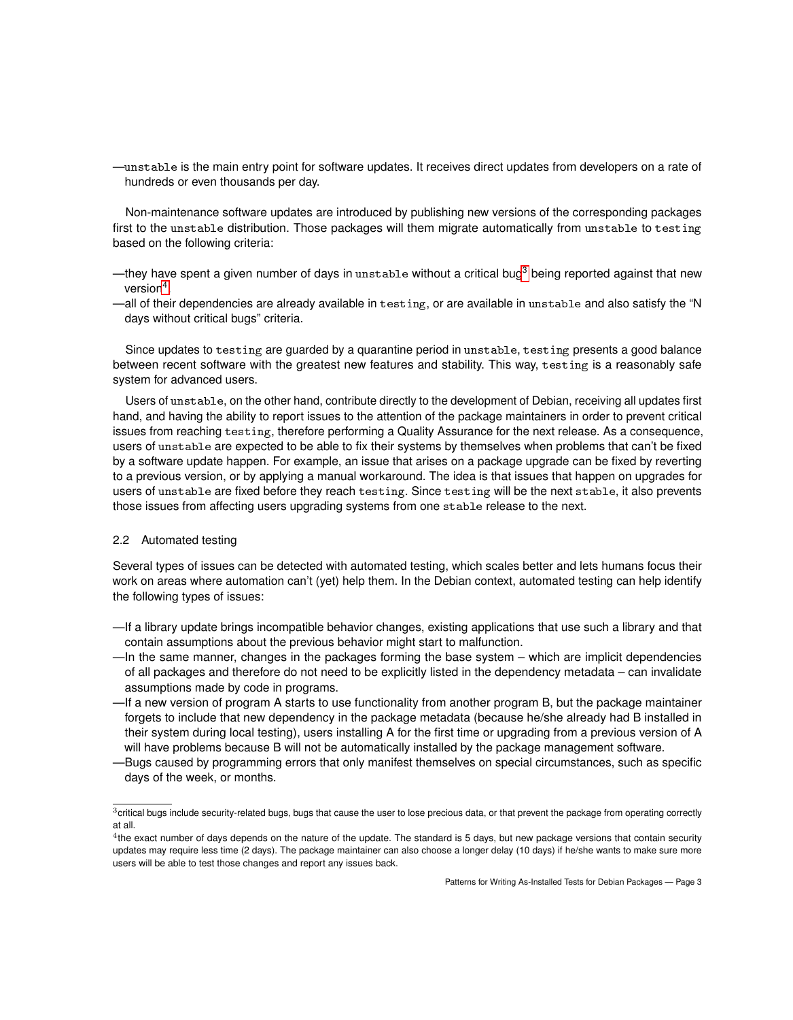—unstable is the main entry point for software updates. It receives direct updates from developers on a rate of hundreds or even thousands per day.

Non-maintenance software updates are introduced by publishing new versions of the corresponding packages first to the unstable distribution. Those packages will them migrate automatically from unstable to testing based on the following criteria:

- —they have spent a given number of days in unstable without a critical bug<sup>[3](#page-0-0)</sup> being reported against that new version<sup>[4](#page-0-0)</sup>.
- —all of their dependencies are already available in testing, or are available in unstable and also satisfy the "N days without critical bugs" criteria.

Since updates to testing are guarded by a quarantine period in unstable, testing presents a good balance between recent software with the greatest new features and stability. This way, testing is a reasonably safe system for advanced users.

Users of unstable, on the other hand, contribute directly to the development of Debian, receiving all updates first hand, and having the ability to report issues to the attention of the package maintainers in order to prevent critical issues from reaching testing, therefore performing a Quality Assurance for the next release. As a consequence, users of unstable are expected to be able to fix their systems by themselves when problems that can't be fixed by a software update happen. For example, an issue that arises on a package upgrade can be fixed by reverting to a previous version, or by applying a manual workaround. The idea is that issues that happen on upgrades for users of unstable are fixed before they reach testing. Since testing will be the next stable, it also prevents those issues from affecting users upgrading systems from one stable release to the next.

# 2.2 Automated testing

Several types of issues can be detected with automated testing, which scales better and lets humans focus their work on areas where automation can't (yet) help them. In the Debian context, automated testing can help identify the following types of issues:

- —If a library update brings incompatible behavior changes, existing applications that use such a library and that contain assumptions about the previous behavior might start to malfunction.
- —In the same manner, changes in the packages forming the base system which are implicit dependencies of all packages and therefore do not need to be explicitly listed in the dependency metadata – can invalidate assumptions made by code in programs.
- —If a new version of program A starts to use functionality from another program B, but the package maintainer forgets to include that new dependency in the package metadata (because he/she already had B installed in their system during local testing), users installing A for the first time or upgrading from a previous version of A will have problems because B will not be automatically installed by the package management software.
- —Bugs caused by programming errors that only manifest themselves on special circumstances, such as specific days of the week, or months.

 $3$ critical bugs include security-related bugs, bugs that cause the user to lose precious data, or that prevent the package from operating correctly at all.

 $4$ the exact number of days depends on the nature of the update. The standard is 5 days, but new package versions that contain security updates may require less time (2 days). The package maintainer can also choose a longer delay (10 days) if he/she wants to make sure more users will be able to test those changes and report any issues back.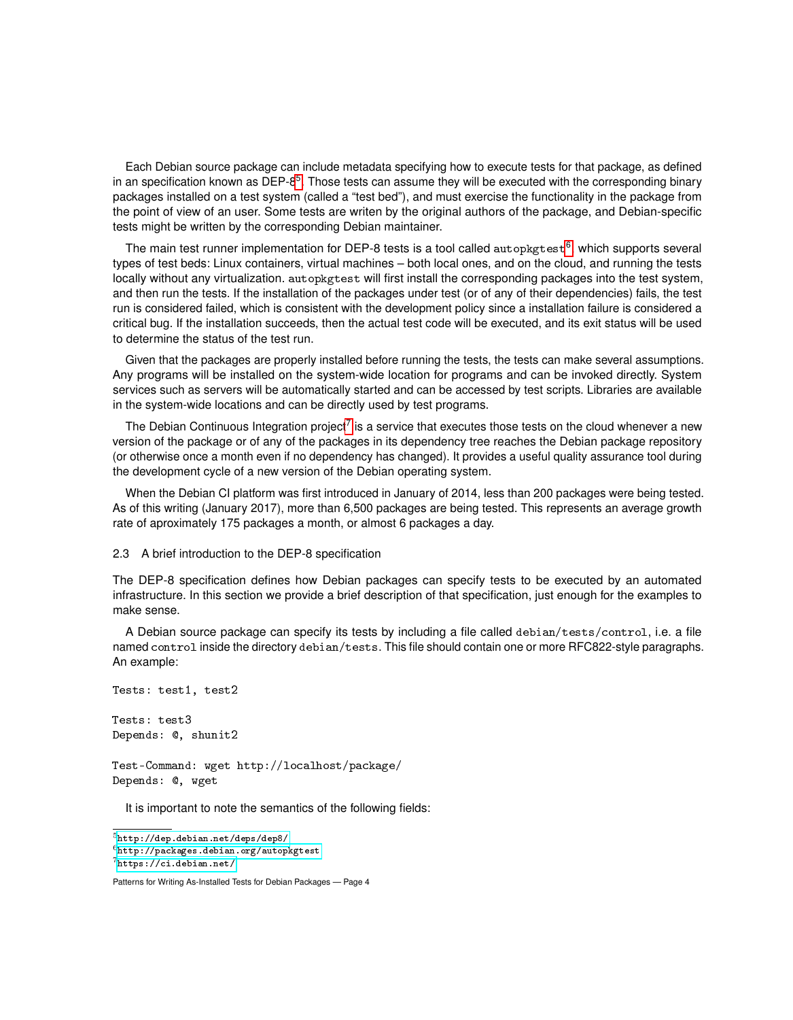Each Debian source package can include metadata specifying how to execute tests for that package, as defined in an specification known as DEP-8<sup>[5](#page-0-0)</sup>. Those tests can assume they will be executed with the corresponding binary packages installed on a test system (called a "test bed"), and must exercise the functionality in the package from the point of view of an user. Some tests are writen by the original authors of the package, and Debian-specific tests might be written by the corresponding Debian maintainer.

The main test runner implementation for DEP-8 tests is a tool called autopkgtest<sup>[6](#page-0-0)</sup>, which supports several types of test beds: Linux containers, virtual machines – both local ones, and on the cloud, and running the tests locally without any virtualization. autopkgtest will first install the corresponding packages into the test system, and then run the tests. If the installation of the packages under test (or of any of their dependencies) fails, the test run is considered failed, which is consistent with the development policy since a installation failure is considered a critical bug. If the installation succeeds, then the actual test code will be executed, and its exit status will be used to determine the status of the test run.

Given that the packages are properly installed before running the tests, the tests can make several assumptions. Any programs will be installed on the system-wide location for programs and can be invoked directly. System services such as servers will be automatically started and can be accessed by test scripts. Libraries are available in the system-wide locations and can be directly used by test programs.

The Debian Continuous Integration project<sup>[7](#page-0-0)</sup> is a service that executes those tests on the cloud whenever a new version of the package or of any of the packages in its dependency tree reaches the Debian package repository (or otherwise once a month even if no dependency has changed). It provides a useful quality assurance tool during the development cycle of a new version of the Debian operating system.

When the Debian CI platform was first introduced in January of 2014, less than 200 packages were being tested. As of this writing (January 2017), more than 6,500 packages are being tested. This represents an average growth rate of aproximately 175 packages a month, or almost 6 packages a day.

## 2.3 A brief introduction to the DEP-8 specification

The DEP-8 specification defines how Debian packages can specify tests to be executed by an automated infrastructure. In this section we provide a brief description of that specification, just enough for the examples to make sense.

A Debian source package can specify its tests by including a file called debian/tests/control, i.e. a file named control inside the directory debian/tests. This file should contain one or more RFC822-style paragraphs. An example:

```
Tests: test1, test2
Tests: test3
```
Depends: @, shunit2

Test-Command: wget http://localhost/package/ Depends: @, wget

It is important to note the semantics of the following fields:

 ${\rm ^5}$  <http://dep.debian.net/deps/dep8/> <sup>6</sup><http://packages.debian.org/autopkgtest>  $7$ <https://ci.debian.net/>

Patterns for Writing As-Installed Tests for Debian Packages — Page 4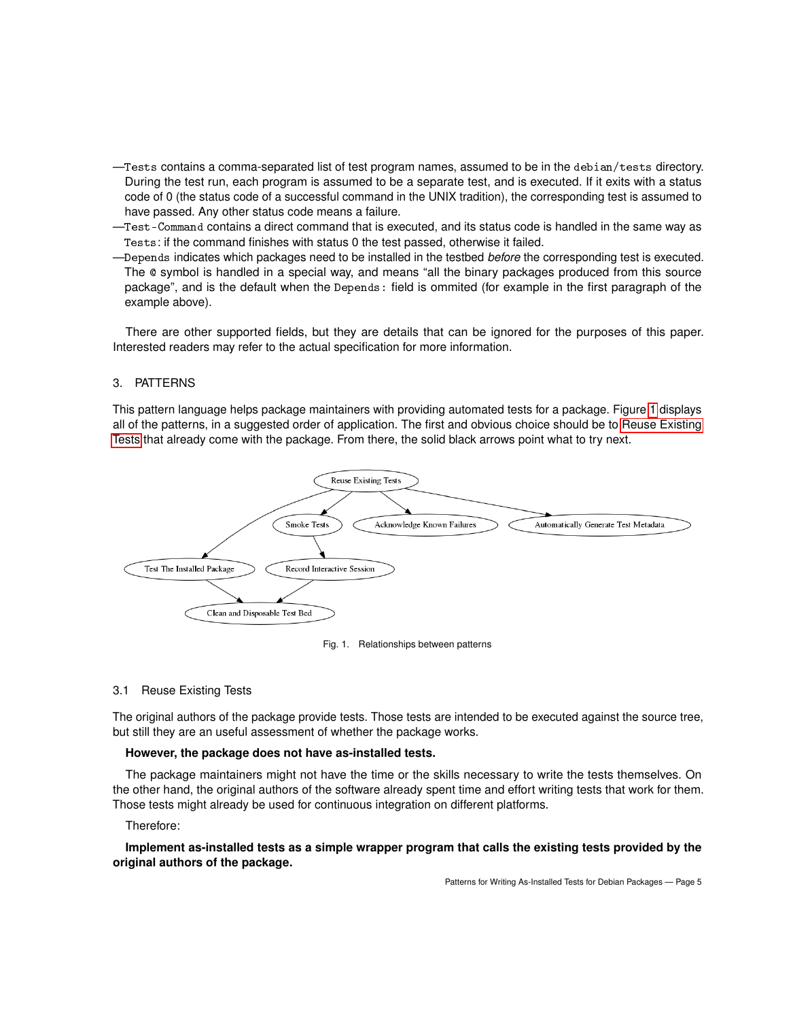- —Tests contains a comma-separated list of test program names, assumed to be in the debian/tests directory. During the test run, each program is assumed to be a separate test, and is executed. If it exits with a status code of 0 (the status code of a successful command in the UNIX tradition), the corresponding test is assumed to have passed. Any other status code means a failure.
- —Test-Command contains a direct command that is executed, and its status code is handled in the same way as Tests: if the command finishes with status 0 the test passed, otherwise it failed.
- —Depends indicates which packages need to be installed in the testbed *before* the corresponding test is executed. The @ symbol is handled in a special way, and means "all the binary packages produced from this source package", and is the default when the Depends: field is ommited (for example in the first paragraph of the example above).

There are other supported fields, but they are details that can be ignored for the purposes of this paper. Interested readers may refer to the actual specification for more information.

# 3. PATTERNS

This pattern language helps package maintainers with providing automated tests for a package. Figure [1](#page-4-0) displays all of the patterns, in a suggested order of application. The first and obvious choice should be to [Reuse Existing](#page-4-1) [Tests](#page-4-1) that already come with the package. From there, the solid black arrows point what to try next.



<span id="page-4-0"></span>

# <span id="page-4-1"></span>3.1 Reuse Existing Tests

The original authors of the package provide tests. Those tests are intended to be executed against the source tree, but still they are an useful assessment of whether the package works.

# **However, the package does not have as-installed tests.**

The package maintainers might not have the time or the skills necessary to write the tests themselves. On the other hand, the original authors of the software already spent time and effort writing tests that work for them. Those tests might already be used for continuous integration on different platforms.

Therefore:

# **Implement as-installed tests as a simple wrapper program that calls the existing tests provided by the original authors of the package.**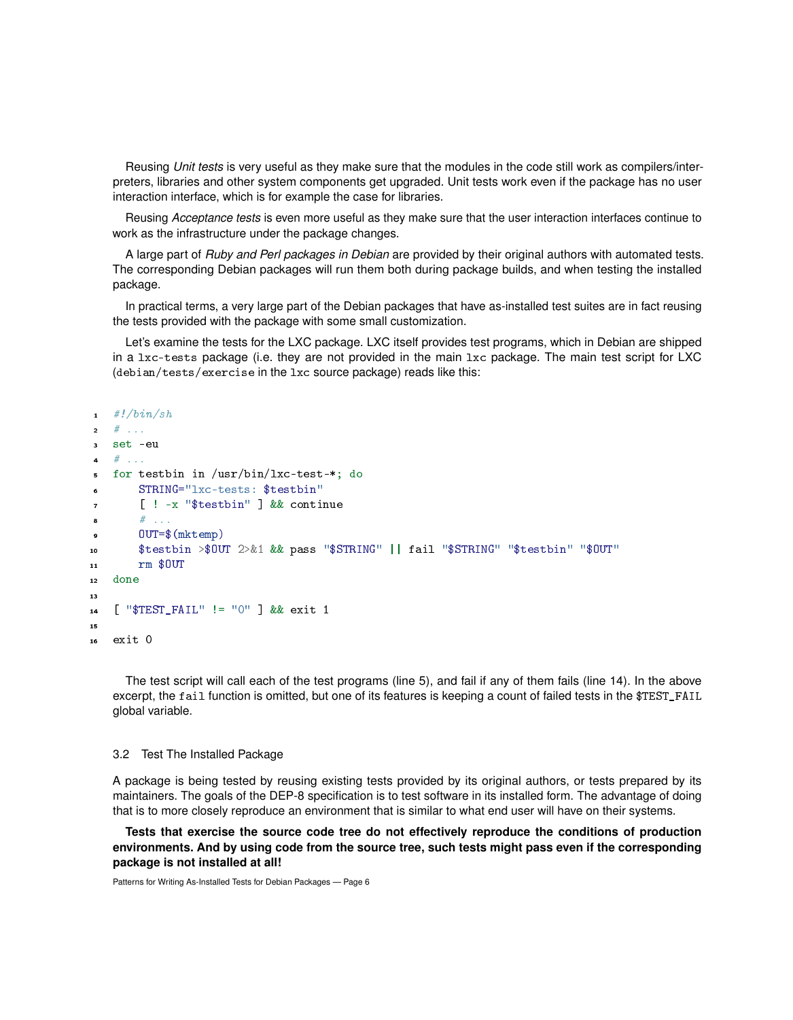Reusing *Unit tests* is very useful as they make sure that the modules in the code still work as compilers/interpreters, libraries and other system components get upgraded. Unit tests work even if the package has no user interaction interface, which is for example the case for libraries.

Reusing *Acceptance tests* is even more useful as they make sure that the user interaction interfaces continue to work as the infrastructure under the package changes.

A large part of *Ruby and Perl packages in Debian* are provided by their original authors with automated tests. The corresponding Debian packages will run them both during package builds, and when testing the installed package.

In practical terms, a very large part of the Debian packages that have as-installed test suites are in fact reusing the tests provided with the package with some small customization.

Let's examine the tests for the LXC package. LXC itself provides test programs, which in Debian are shipped in a lxc-tests package (i.e. they are not provided in the main lxc package. The main test script for LXC (debian/tests/exercise in the lxc source package) reads like this:

```
#!/bin/sh2 \# ...
  3 set -eu
  # ...
  5 for testbin in /usr/bin/lxc-test-*; do
6 STRING="lxc-tests: $testbin"
7 [ ! -x "$testbin" ] && continue
\bullet # ...
9 OUT=$(mktemp)
10 $testbin >$OUT 2>&1 && pass "$STRING" || fail "$STRING" "$testbin" "$OUT"
11 rm $OUT
12 done
13
14 [ "$TEST_FAIL" != "0" ] && exit 1
15
16 exit 0
```
The test script will call each of the test programs (line 5), and fail if any of them fails (line 14). In the above excerpt, the fail function is omitted, but one of its features is keeping a count of failed tests in the \$TEST\_FAIL global variable.

#### 3.2 Test The Installed Package

A package is being tested by reusing existing tests provided by its original authors, or tests prepared by its maintainers. The goals of the DEP-8 specification is to test software in its installed form. The advantage of doing that is to more closely reproduce an environment that is similar to what end user will have on their systems.

**Tests that exercise the source code tree do not effectively reproduce the conditions of production environments. And by using code from the source tree, such tests might pass even if the corresponding package is not installed at all!**

```
Patterns for Writing As-Installed Tests for Debian Packages — Page 6
```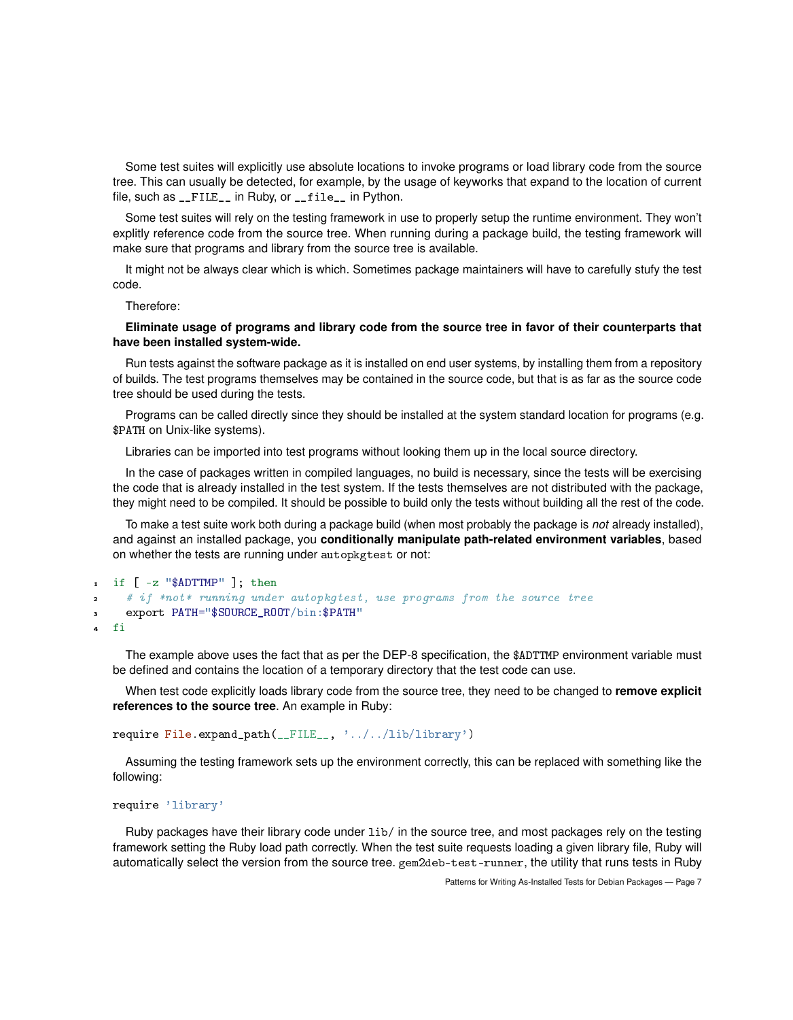Some test suites will explicitly use absolute locations to invoke programs or load library code from the source tree. This can usually be detected, for example, by the usage of keyworks that expand to the location of current file, such as \_\_FILE\_\_ in Ruby, or \_\_file\_\_ in Python.

Some test suites will rely on the testing framework in use to properly setup the runtime environment. They won't explitly reference code from the source tree. When running during a package build, the testing framework will make sure that programs and library from the source tree is available.

It might not be always clear which is which. Sometimes package maintainers will have to carefully stufy the test code.

Therefore:

## **Eliminate usage of programs and library code from the source tree in favor of their counterparts that have been installed system-wide.**

Run tests against the software package as it is installed on end user systems, by installing them from a repository of builds. The test programs themselves may be contained in the source code, but that is as far as the source code tree should be used during the tests.

Programs can be called directly since they should be installed at the system standard location for programs (e.g. \$PATH on Unix-like systems).

Libraries can be imported into test programs without looking them up in the local source directory.

In the case of packages written in compiled languages, no build is necessary, since the tests will be exercising the code that is already installed in the test system. If the tests themselves are not distributed with the package, they might need to be compiled. It should be possible to build only the tests without building all the rest of the code.

To make a test suite work both during a package build (when most probably the package is *not* already installed), and against an installed package, you **conditionally manipulate path-related environment variables**, based on whether the tests are running under autopkgtest or not:

```
1 if [ -z "$ADTTMP" ]; then
2 # if *not* running under autopkgtest, use programs from the source tree
     export PATH="$SOURCE_ROOT/bin:$PATH"
  4 fi
```
The example above uses the fact that as per the DEP-8 specification, the \$ADTTMP environment variable must be defined and contains the location of a temporary directory that the test code can use.

When test code explicitly loads library code from the source tree, they need to be changed to **remove explicit references to the source tree**. An example in Ruby:

require File.expand\_path(\_\_FILE\_\_, '../../lib/library')

Assuming the testing framework sets up the environment correctly, this can be replaced with something like the following:

```
require 'library'
```
Ruby packages have their library code under lib/ in the source tree, and most packages rely on the testing framework setting the Ruby load path correctly. When the test suite requests loading a given library file, Ruby will automatically select the version from the source tree. gem2deb-test-runner, the utility that runs tests in Ruby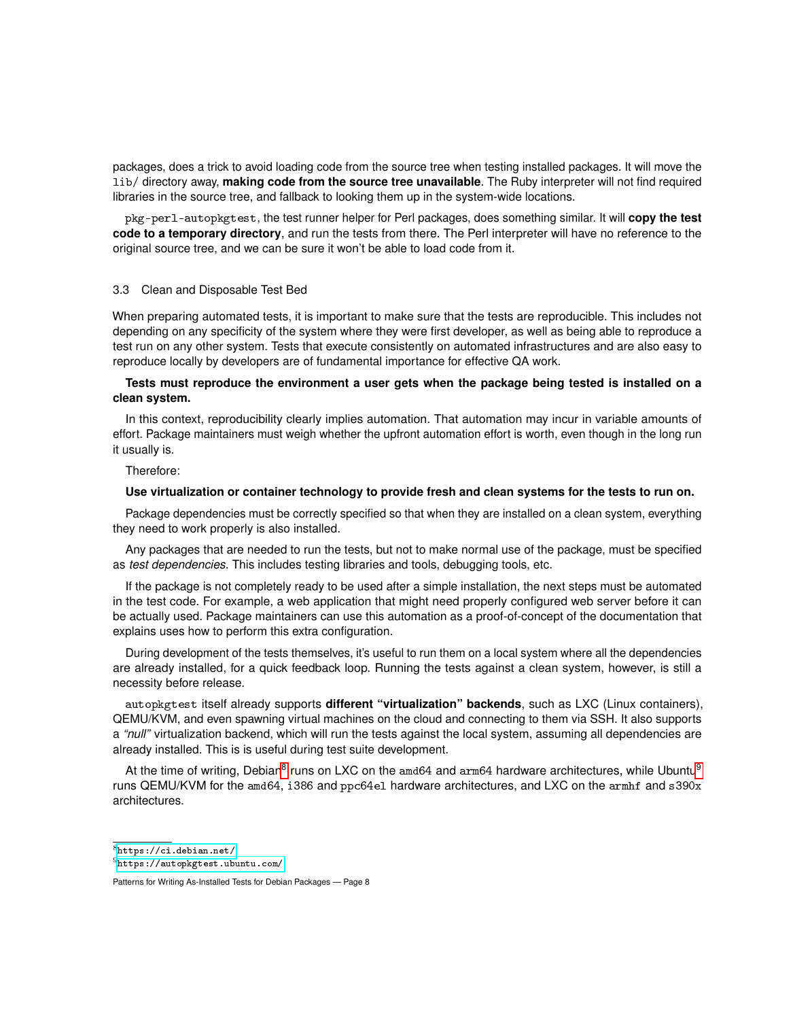packages, does a trick to avoid loading code from the source tree when testing installed packages. It will move the lib/ directory away, **making code from the source tree unavailable**. The Ruby interpreter will not find required libraries in the source tree, and fallback to looking them up in the system-wide locations.

pkg-perl-autopkgtest, the test runner helper for Perl packages, does something similar. It will **copy the test code to a temporary directory**, and run the tests from there. The Perl interpreter will have no reference to the original source tree, and we can be sure it won't be able to load code from it.

## 3.3 Clean and Disposable Test Bed

When preparing automated tests, it is important to make sure that the tests are reproducible. This includes not depending on any specificity of the system where they were first developer, as well as being able to reproduce a test run on any other system. Tests that execute consistently on automated infrastructures and are also easy to reproduce locally by developers are of fundamental importance for effective QA work.

# **Tests must reproduce the environment a user gets when the package being tested is installed on a clean system.**

In this context, reproducibility clearly implies automation. That automation may incur in variable amounts of effort. Package maintainers must weigh whether the upfront automation effort is worth, even though in the long run it usually is.

# Therefore:

## **Use virtualization or container technology to provide fresh and clean systems for the tests to run on.**

Package dependencies must be correctly specified so that when they are installed on a clean system, everything they need to work properly is also installed.

Any packages that are needed to run the tests, but not to make normal use of the package, must be specified as *test dependencies*. This includes testing libraries and tools, debugging tools, etc.

If the package is not completely ready to be used after a simple installation, the next steps must be automated in the test code. For example, a web application that might need properly configured web server before it can be actually used. Package maintainers can use this automation as a proof-of-concept of the documentation that explains uses how to perform this extra configuration.

During development of the tests themselves, it's useful to run them on a local system where all the dependencies are already installed, for a quick feedback loop. Running the tests against a clean system, however, is still a necessity before release.

autopkgtest itself already supports **different "virtualization" backends**, such as LXC (Linux containers), QEMU/KVM, and even spawning virtual machines on the cloud and connecting to them via SSH. It also supports a *"null"* virtualization backend, which will run the tests against the local system, assuming all dependencies are already installed. This is is useful during test suite development.

At the time of writing, Debian<sup>[8](#page-0-0)</sup> runs on LXC on the amd64 and arm64 hardware architectures, while Ubuntu<sup>[9](#page-0-0)</sup> runs QEMU/KVM for the amd64, i386 and ppc64el hardware architectures, and LXC on the armhf and s390x architectures.

<sup>8</sup><https://ci.debian.net/>

 $9$ <https://autopkgtest.ubuntu.com/>

Patterns for Writing As-Installed Tests for Debian Packages — Page 8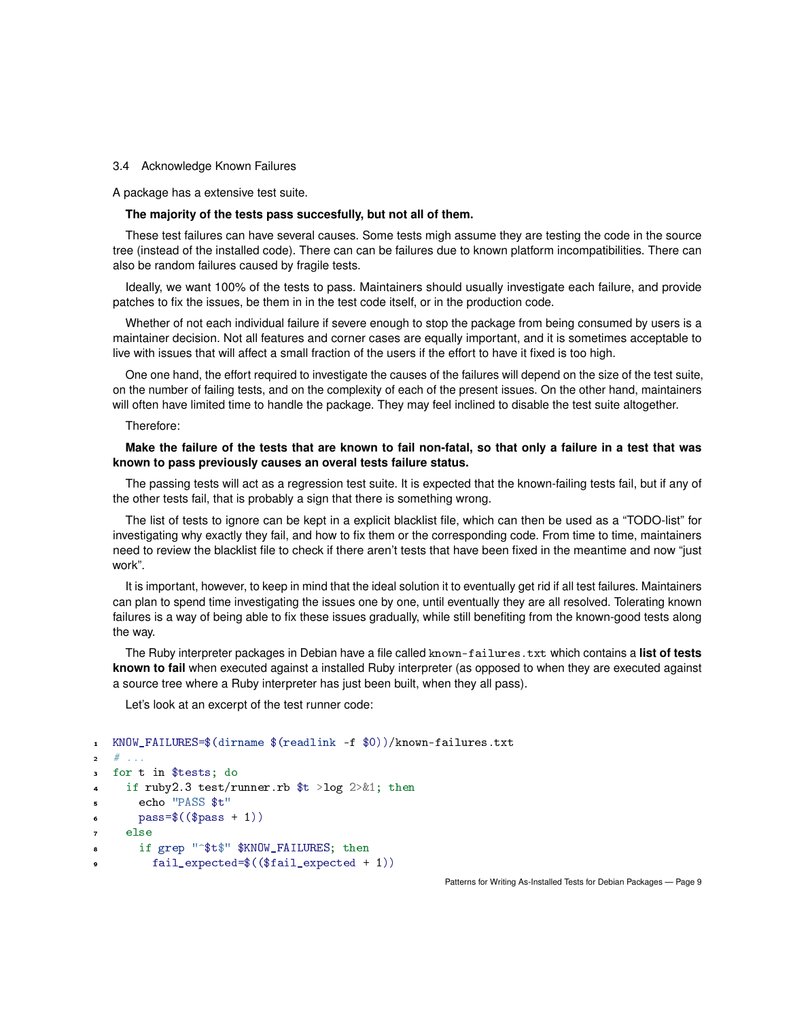## 3.4 Acknowledge Known Failures

A package has a extensive test suite.

## **The majority of the tests pass succesfully, but not all of them.**

These test failures can have several causes. Some tests migh assume they are testing the code in the source tree (instead of the installed code). There can can be failures due to known platform incompatibilities. There can also be random failures caused by fragile tests.

Ideally, we want 100% of the tests to pass. Maintainers should usually investigate each failure, and provide patches to fix the issues, be them in in the test code itself, or in the production code.

Whether of not each individual failure if severe enough to stop the package from being consumed by users is a maintainer decision. Not all features and corner cases are equally important, and it is sometimes acceptable to live with issues that will affect a small fraction of the users if the effort to have it fixed is too high.

One one hand, the effort required to investigate the causes of the failures will depend on the size of the test suite, on the number of failing tests, and on the complexity of each of the present issues. On the other hand, maintainers will often have limited time to handle the package. They may feel inclined to disable the test suite altogether.

### Therefore:

# **Make the failure of the tests that are known to fail non-fatal, so that only a failure in a test that was known to pass previously causes an overal tests failure status.**

The passing tests will act as a regression test suite. It is expected that the known-failing tests fail, but if any of the other tests fail, that is probably a sign that there is something wrong.

The list of tests to ignore can be kept in a explicit blacklist file, which can then be used as a "TODO-list" for investigating why exactly they fail, and how to fix them or the corresponding code. From time to time, maintainers need to review the blacklist file to check if there aren't tests that have been fixed in the meantime and now "just work".

It is important, however, to keep in mind that the ideal solution it to eventually get rid if all test failures. Maintainers can plan to spend time investigating the issues one by one, until eventually they are all resolved. Tolerating known failures is a way of being able to fix these issues gradually, while still benefiting from the known-good tests along the way.

The Ruby interpreter packages in Debian have a file called known-failures.txt which contains a **list of tests known to fail** when executed against a installed Ruby interpreter (as opposed to when they are executed against a source tree where a Ruby interpreter has just been built, when they all pass).

Let's look at an excerpt of the test runner code:

```
1 KNOW_FAILURES=$(dirname $(readlink -f $0))/known-failures.txt
2 # ...
3 for t in $tests; do
    if ruby2.3 test/runner.rb t > log 2 > & 1; then
5 echo "PASS $t"
      pass=\$(\$pass + 1))7 else
8 if grep "^$t$" $KNOW_FAILURES; then
        fail expected=$($($fail expected + 1))
```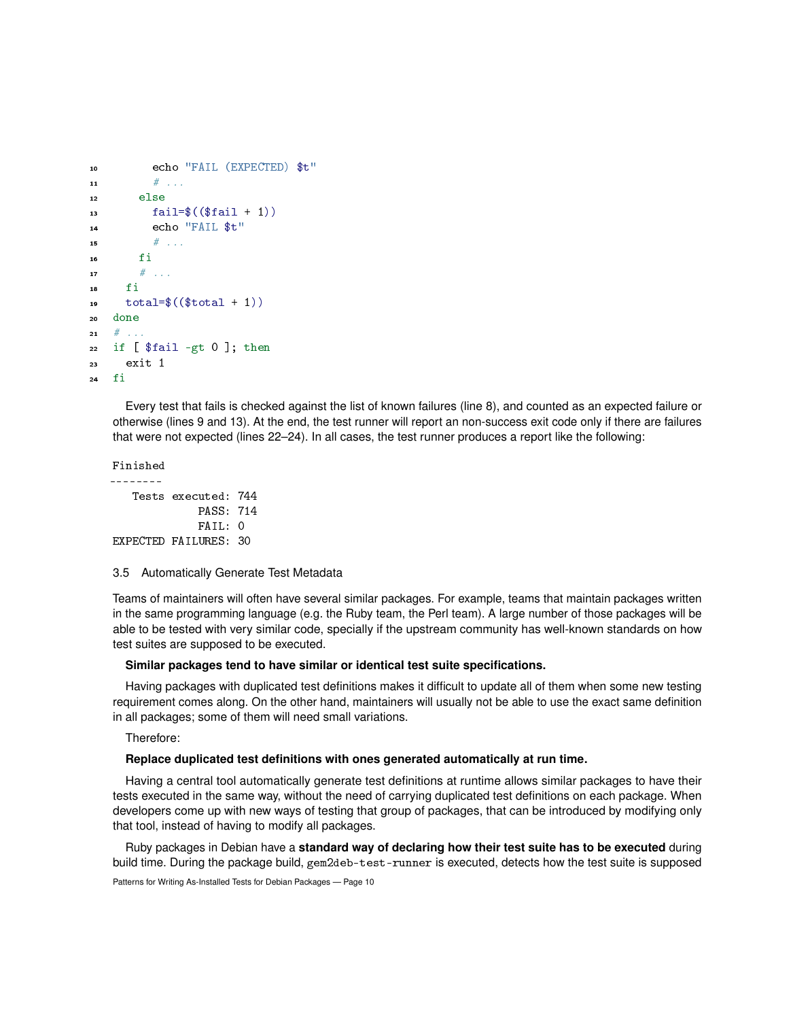```
10 echo "FAIL (EXPECTED) $t"
11 \# ...
12 else
13 fail=$(($fail + 1))
14 echo "FAIL $t"
15 \# ...
16 fi
17 \# ...
18 fi
19 \text{total}=\$((\$ \text{total } + 1))20 done
21 \quad # \quad . \quad .22 if [ $fail -gt 0 ]; then
23 exit 1
24 fi
```
Every test that fails is checked against the list of known failures (line 8), and counted as an expected failure or otherwise (lines 9 and 13). At the end, the test runner will report an non-success exit code only if there are failures that were not expected (lines 22–24). In all cases, the test runner produces a report like the following:

Finished --------

```
Tests executed: 744
            PASS: 714
            FAIL: 0
EXPECTED FAILURES: 30
```
## 3.5 Automatically Generate Test Metadata

Teams of maintainers will often have several similar packages. For example, teams that maintain packages written in the same programming language (e.g. the Ruby team, the Perl team). A large number of those packages will be able to be tested with very similar code, specially if the upstream community has well-known standards on how test suites are supposed to be executed.

## **Similar packages tend to have similar or identical test suite specifications.**

Having packages with duplicated test definitions makes it difficult to update all of them when some new testing requirement comes along. On the other hand, maintainers will usually not be able to use the exact same definition in all packages; some of them will need small variations.

Therefore:

### **Replace duplicated test definitions with ones generated automatically at run time.**

Having a central tool automatically generate test definitions at runtime allows similar packages to have their tests executed in the same way, without the need of carrying duplicated test definitions on each package. When developers come up with new ways of testing that group of packages, that can be introduced by modifying only that tool, instead of having to modify all packages.

Ruby packages in Debian have a **standard way of declaring how their test suite has to be executed** during build time. During the package build, gem2deb-test-runner is executed, detects how the test suite is supposed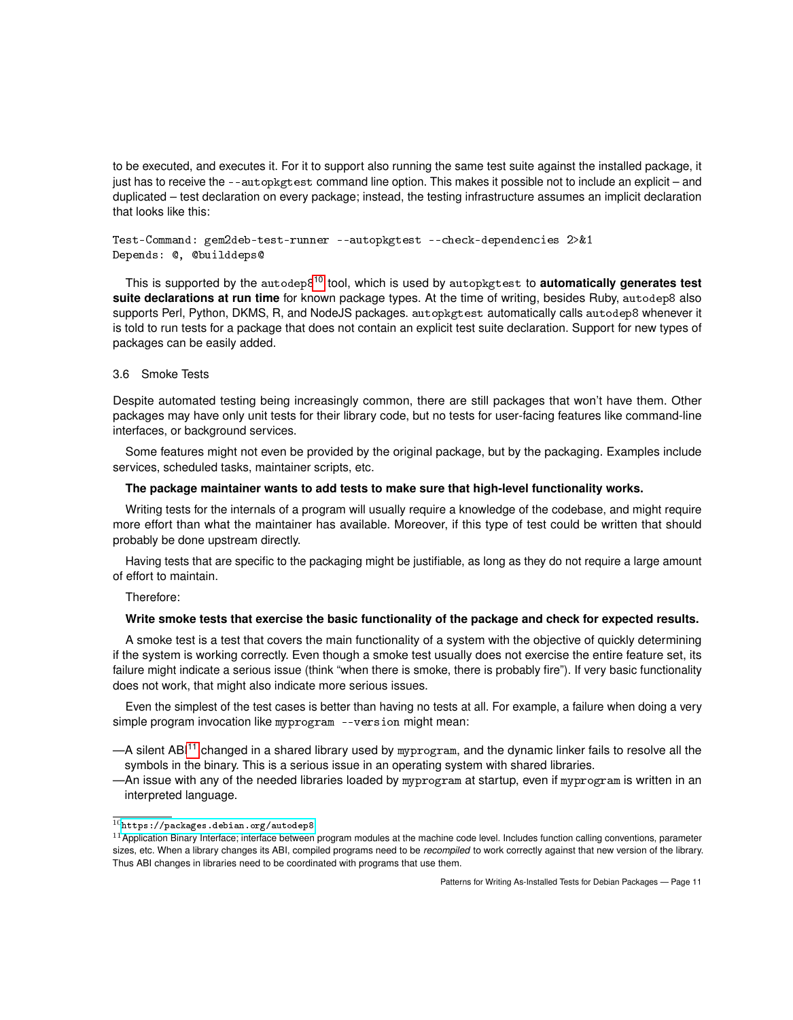to be executed, and executes it. For it to support also running the same test suite against the installed package, it just has to receive the --autopkgtest command line option. This makes it possible not to include an explicit – and duplicated – test declaration on every package; instead, the testing infrastructure assumes an implicit declaration that looks like this:

```
Test-Command: gem2deb-test-runner --autopkgtest --check-dependencies 2>&1
Depends: @, @builddeps@
```
This is supported by the autodep8[10](#page-0-0) tool, which is used by autopkgtest to **automatically generates test suite declarations at run time** for known package types. At the time of writing, besides Ruby, autodep8 also supports Perl, Python, DKMS, R, and NodeJS packages. autopkgtest automatically calls autodep8 whenever it is told to run tests for a package that does not contain an explicit test suite declaration. Support for new types of packages can be easily added.

# <span id="page-10-0"></span>3.6 Smoke Tests

Despite automated testing being increasingly common, there are still packages that won't have them. Other packages may have only unit tests for their library code, but no tests for user-facing features like command-line interfaces, or background services.

Some features might not even be provided by the original package, but by the packaging. Examples include services, scheduled tasks, maintainer scripts, etc.

#### **The package maintainer wants to add tests to make sure that high-level functionality works.**

Writing tests for the internals of a program will usually require a knowledge of the codebase, and might require more effort than what the maintainer has available. Moreover, if this type of test could be written that should probably be done upstream directly.

Having tests that are specific to the packaging might be justifiable, as long as they do not require a large amount of effort to maintain.

Therefore:

# **Write smoke tests that exercise the basic functionality of the package and check for expected results.**

A smoke test is a test that covers the main functionality of a system with the objective of quickly determining if the system is working correctly. Even though a smoke test usually does not exercise the entire feature set, its failure might indicate a serious issue (think "when there is smoke, there is probably fire"). If very basic functionality does not work, that might also indicate more serious issues.

Even the simplest of the test cases is better than having no tests at all. For example, a failure when doing a very simple program invocation like myprogram --version might mean:

—A silent ABI[11](#page-0-0) changed in a shared library used by myprogram, and the dynamic linker fails to resolve all the symbols in the binary. This is a serious issue in an operating system with shared libraries.

—An issue with any of the needed libraries loaded by myprogram at startup, even if myprogram is written in an interpreted language.

 $^{10}{\tt \,ht\,ts}$  : //packages.debian.org/autodep8

 $11$  Application Binary Interface; interface between program modules at the machine code level. Includes function calling conventions, parameter sizes, etc. When a library changes its ABI, compiled programs need to be *recompiled* to work correctly against that new version of the library. Thus ABI changes in libraries need to be coordinated with programs that use them.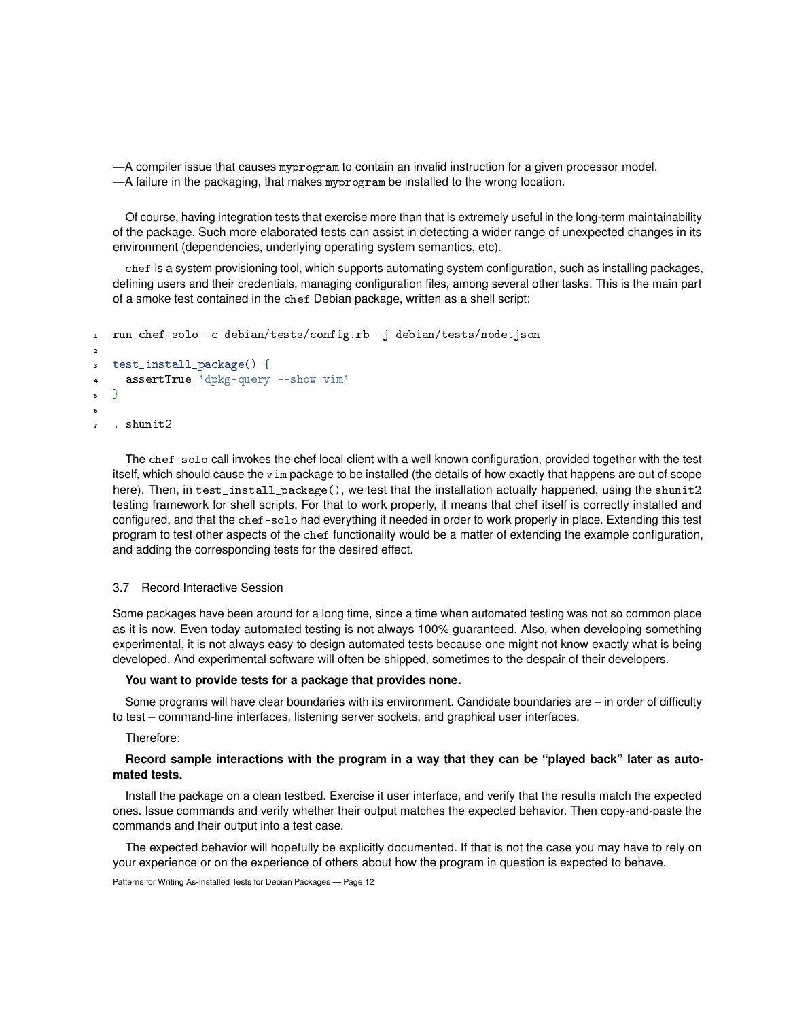—A compiler issue that causes myprogram to contain an invalid instruction for a given processor model. —A failure in the packaging, that makes myprogram be installed to the wrong location.

Of course, having integration tests that exercise more than that is extremely useful in the long-term maintainability of the package. Such more elaborated tests can assist in detecting a wider range of unexpected changes in its environment (dependencies, underlying operating system semantics, etc).

chef is a system provisioning tool, which supports automating system configuration, such as installing packages, defining users and their credentials, managing configuration files, among several other tasks. This is the main part of a smoke test contained in the chef Debian package, written as a shell script:

```
1 run chef-solo -c debian/tests/config.rb -j debian/tests/node.json
2
  3 test_install_package() {
    assertTrue 'dpkg-query --show vim'
5 }
6
  . shunit2
```
The chef-solo call invokes the chef local client with a well known configuration, provided together with the test itself, which should cause the vim package to be installed (the details of how exactly that happens are out of scope here). Then, in test\_install\_package(), we test that the installation actually happened, using the shunit2 testing framework for shell scripts. For that to work properly, it means that chef itself is correctly installed and configured, and that the chef-solo had everything it needed in order to work properly in place. Extending this test program to test other aspects of the chef functionality would be a matter of extending the example configuration, and adding the corresponding tests for the desired effect.

#### 3.7 Record Interactive Session

Some packages have been around for a long time, since a time when automated testing was not so common place as it is now. Even today automated testing is not always 100% guaranteed. Also, when developing something experimental, it is not always easy to design automated tests because one might not know exactly what is being developed. And experimental software will often be shipped, sometimes to the despair of their developers.

## **You want to provide tests for a package that provides none.**

Some programs will have clear boundaries with its environment. Candidate boundaries are – in order of difficulty to test – command-line interfaces, listening server sockets, and graphical user interfaces.

Therefore:

# **Record sample interactions with the program in a way that they can be "played back" later as automated tests.**

Install the package on a clean testbed. Exercise it user interface, and verify that the results match the expected ones. Issue commands and verify whether their output matches the expected behavior. Then copy-and-paste the commands and their output into a test case.

The expected behavior will hopefully be explicitly documented. If that is not the case you may have to rely on your experience or on the experience of others about how the program in question is expected to behave.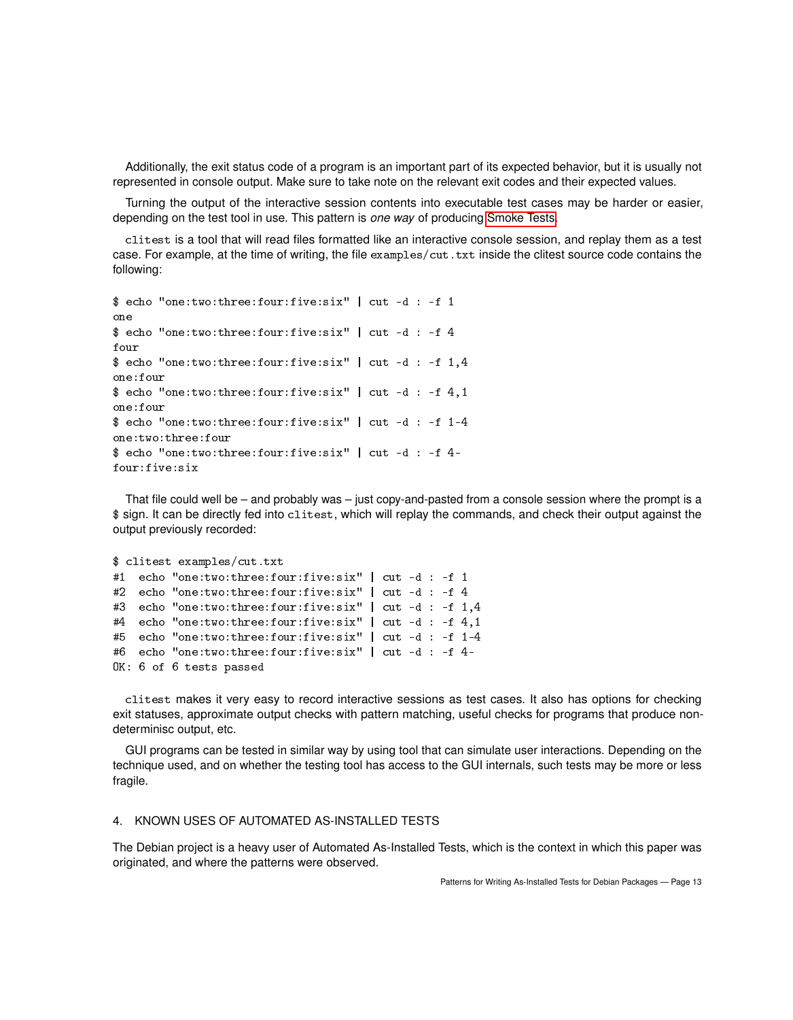Additionally, the exit status code of a program is an important part of its expected behavior, but it is usually not represented in console output. Make sure to take note on the relevant exit codes and their expected values.

Turning the output of the interactive session contents into executable test cases may be harder or easier, depending on the test tool in use. This pattern is *one way* of producing [Smoke Tests.](#page-10-0)

clitest is a tool that will read files formatted like an interactive console session, and replay them as a test case. For example, at the time of writing, the file examples/cut.txt inside the clitest source code contains the following:

```
$ echo "one:two:three:four:five:six" | cut -d : -f 1
one
$ echo "one:two:three:four:five:six" | cut -d : -f 4
four
$ echo "one:two:three:four:five:six" | cut -d : -f 1,4
one:four
$ echo "one:two:three:four:five:six" | cut -d : -f 4,1
one:four
$ echo "one:two:three:four:five:six" | cut -d : -f 1-4
one:two:three:four
$ echo "one:two:three:four:five:six" | cut -d : -f 4-
four:five:six
```
That file could well be – and probably was – just copy-and-pasted from a console session where the prompt is a \$ sign. It can be directly fed into clitest, which will replay the commands, and check their output against the output previously recorded:

```
$ clitest examples/cut.txt
#1 echo "one:two:three:four:five:six" | cut -d : -f 1
#2 echo "one:two:three:four:five:six" | cut -d : -f 4
#3 echo "one:two:three:four:five:six" | cut -d : -f 1,4
#4 echo "one:two:three:four:five:six" | cut -d : -f 4,1
#5 echo "one:two:three:four:five:six" | cut -d : -f 1-4
#6 echo "one:two:three:four:five:six" | cut -d : -f 4-
OK: 6 of 6 tests passed
```
clitest makes it very easy to record interactive sessions as test cases. It also has options for checking exit statuses, approximate output checks with pattern matching, useful checks for programs that produce nondeterminisc output, etc.

GUI programs can be tested in similar way by using tool that can simulate user interactions. Depending on the technique used, and on whether the testing tool has access to the GUI internals, such tests may be more or less fragile.

# 4. KNOWN USES OF AUTOMATED AS-INSTALLED TESTS

The Debian project is a heavy user of Automated As-Installed Tests, which is the context in which this paper was originated, and where the patterns were observed.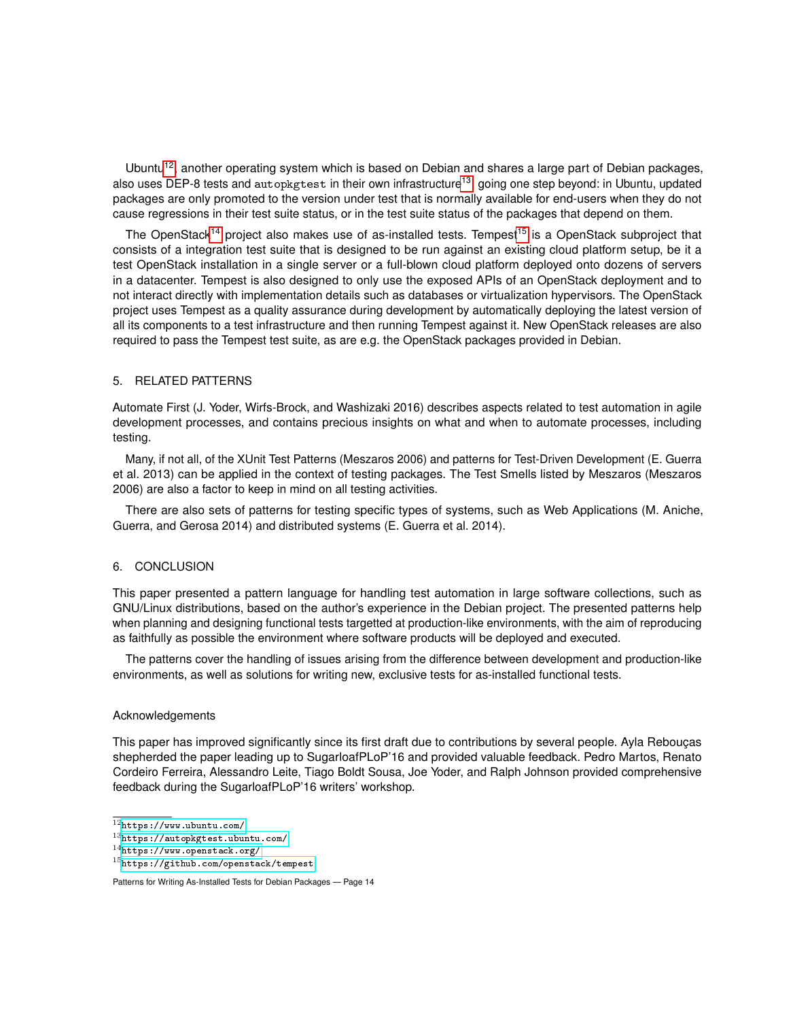Ubuntu<sup>[12](#page-0-0)</sup>, another operating system which is based on Debian and shares a large part of Debian packages, also uses DEP-8 tests and autopkgtest in their own infrastructure<sup>[13](#page-0-0)</sup>, going one step beyond: in Ubuntu, updated packages are only promoted to the version under test that is normally available for end-users when they do not cause regressions in their test suite status, or in the test suite status of the packages that depend on them.

The OpenStack<sup>[14](#page-0-0)</sup> project also makes use of as-installed tests. Tempest<sup>[15](#page-0-0)</sup> is a OpenStack subproject that consists of a integration test suite that is designed to be run against an existing cloud platform setup, be it a test OpenStack installation in a single server or a full-blown cloud platform deployed onto dozens of servers in a datacenter. Tempest is also designed to only use the exposed APIs of an OpenStack deployment and to not interact directly with implementation details such as databases or virtualization hypervisors. The OpenStack project uses Tempest as a quality assurance during development by automatically deploying the latest version of all its components to a test infrastructure and then running Tempest against it. New OpenStack releases are also required to pass the Tempest test suite, as are e.g. the OpenStack packages provided in Debian.

## 5. RELATED PATTERNS

Automate First (J. Yoder, Wirfs-Brock, and Washizaki 2016) describes aspects related to test automation in agile development processes, and contains precious insights on what and when to automate processes, including testing.

Many, if not all, of the XUnit Test Patterns (Meszaros 2006) and patterns for Test-Driven Development (E. Guerra et al. 2013) can be applied in the context of testing packages. The Test Smells listed by Meszaros (Meszaros 2006) are also a factor to keep in mind on all testing activities.

There are also sets of patterns for testing specific types of systems, such as Web Applications (M. Aniche, Guerra, and Gerosa 2014) and distributed systems (E. Guerra et al. 2014).

#### 6. CONCLUSION

This paper presented a pattern language for handling test automation in large software collections, such as GNU/Linux distributions, based on the author's experience in the Debian project. The presented patterns help when planning and designing functional tests targetted at production-like environments, with the aim of reproducing as faithfully as possible the environment where software products will be deployed and executed.

The patterns cover the handling of issues arising from the difference between development and production-like environments, as well as solutions for writing new, exclusive tests for as-installed functional tests.

## Acknowledgements

This paper has improved significantly since its first draft due to contributions by several people. Ayla Rebouças shepherded the paper leading up to SugarloafPLoP'16 and provided valuable feedback. Pedro Martos, Renato Cordeiro Ferreira, Alessandro Leite, Tiago Boldt Sousa, Joe Yoder, and Ralph Johnson provided comprehensive feedback during the SugarloafPLoP'16 writers' workshop.

 $^{12}{\tt htts://www.ubuntu.com/}$ 

 $^{13}$ <https://autopkgtest.ubuntu.com/>

<sup>14</sup><https://www.openstack.org/>

 $15$ <https://github.com/openstack/tempest>